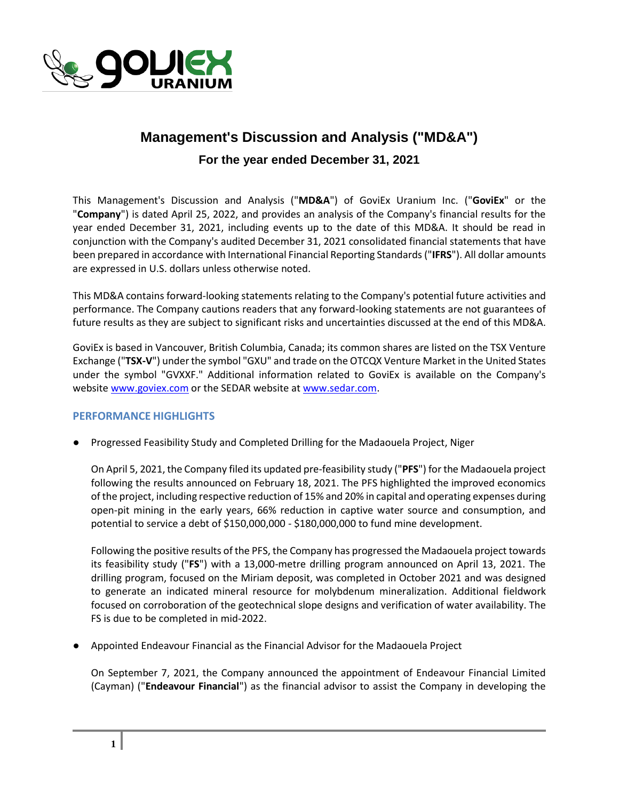

## **Management's Discussion and Analysis ("MD&A")**

**For the year ended December 31, 2021**

This Management's Discussion and Analysis ("**MD&A**") of GoviEx Uranium Inc. ("**GoviEx**" or the "**Company**") is dated April 25, 2022, and provides an analysis of the Company's financial results for the year ended December 31, 2021, including events up to the date of this MD&A. It should be read in conjunction with the Company's audited December 31, 2021 consolidated financial statements that have been prepared in accordance with International Financial Reporting Standards ("**IFRS**"). All dollar amounts are expressed in U.S. dollars unless otherwise noted.

This MD&A contains forward-looking statements relating to the Company's potential future activities and performance. The Company cautions readers that any forward-looking statements are not guarantees of future results as they are subject to significant risks and uncertainties discussed at the end of this MD&A.

GoviEx is based in Vancouver, British Columbia, Canada; its common shares are listed on the TSX Venture Exchange ("**TSX-V**") under the symbol "GXU" and trade on the OTCQX Venture Market in the United States under the symbol "GVXXF." Additional information related to GoviEx is available on the Company's websit[e www.goviex.com](http://www.goviex.com/) or the SEDAR website at [www.sedar.com.](http://www.sedar.com/)

### **PERFORMANCE HIGHLIGHTS**

● Progressed Feasibility Study and Completed Drilling for the Madaouela Project, Niger

On April 5, 2021, the Company filed its updated pre-feasibility study ("**PFS**") for the Madaouela project following the results announced on February 18, 2021. The PFS highlighted the improved economics of the project, including respective reduction of 15% and 20% in capital and operating expenses during open-pit mining in the early years, 66% reduction in captive water source and consumption, and potential to service a debt of \$150,000,000 - \$180,000,000 to fund mine development.

Following the positive results of the PFS, the Company has progressed the Madaouela project towards its feasibility study ("**FS**") with a 13,000-metre drilling program announced on April 13, 2021. The drilling program, focused on the Miriam deposit, was completed in October 2021 and was designed to generate an indicated mineral resource for molybdenum mineralization. Additional fieldwork focused on corroboration of the geotechnical slope designs and verification of water availability. The FS is due to be completed in mid-2022.

● Appointed Endeavour Financial as the Financial Advisor for the Madaouela Project

On September 7, 2021, the Company announced the appointment of Endeavour Financial Limited (Cayman) ("**Endeavour Financial**") as the financial advisor to assist the Company in developing the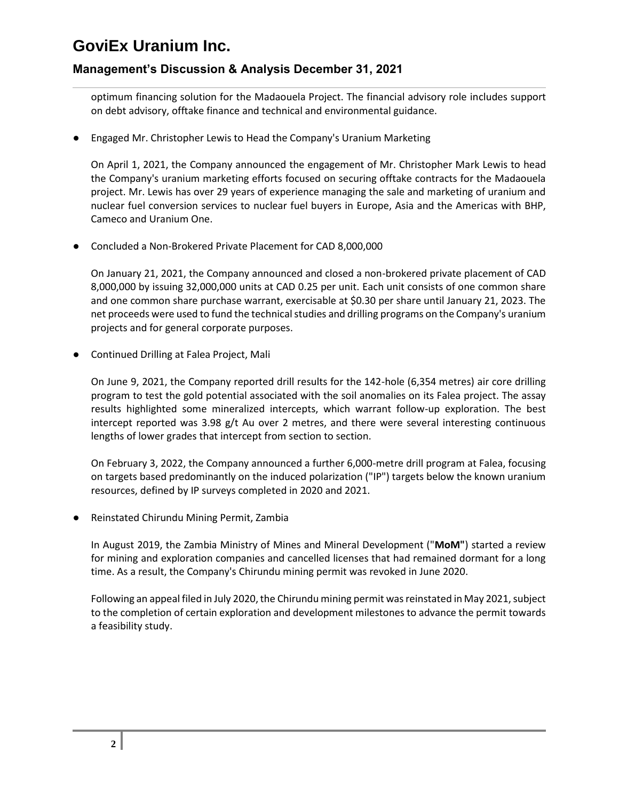## **Management's Discussion & Analysis December 31, 2021**

optimum financing solution for the Madaouela Project. The financial advisory role includes support on debt advisory, offtake finance and technical and environmental guidance.

● Engaged Mr. Christopher Lewis to Head the Company's Uranium Marketing

On April 1, 2021, the Company announced the engagement of Mr. Christopher Mark Lewis to head the Company's uranium marketing efforts focused on securing offtake contracts for the Madaouela project. Mr. Lewis has over 29 years of experience managing the sale and marketing of uranium and nuclear fuel conversion services to nuclear fuel buyers in Europe, Asia and the Americas with BHP, Cameco and Uranium One.

● Concluded a Non-Brokered Private Placement for CAD 8,000,000

On January 21, 2021, the Company announced and closed a non-brokered private placement of CAD 8,000,000 by issuing 32,000,000 units at CAD 0.25 per unit. Each unit consists of one common share and one common share purchase warrant, exercisable at \$0.30 per share until January 21, 2023. The net proceeds were used to fund the technical studies and drilling programs on the Company's uranium projects and for general corporate purposes.

**Continued Drilling at Falea Project, Mali** 

On June 9, 2021, the Company reported drill results for the 142-hole (6,354 metres) air core drilling program to test the gold potential associated with the soil anomalies on its Falea project. The assay results highlighted some mineralized intercepts, which warrant follow-up exploration. The best intercept reported was 3.98 g/t Au over 2 metres, and there were several interesting continuous lengths of lower grades that intercept from section to section.

On February 3, 2022, the Company announced a further 6,000-metre drill program at Falea, focusing on targets based predominantly on the induced polarization ("IP") targets below the known uranium resources, defined by IP surveys completed in 2020 and 2021.

Reinstated Chirundu Mining Permit, Zambia

In August 2019, the Zambia Ministry of Mines and Mineral Development ("**MoM"**) started a review for mining and exploration companies and cancelled licenses that had remained dormant for a long time. As a result, the Company's Chirundu mining permit was revoked in June 2020.

Following an appeal filed in July 2020, the Chirundu mining permit was reinstated in May 2021, subject to the completion of certain exploration and development milestones to advance the permit towards a feasibility study.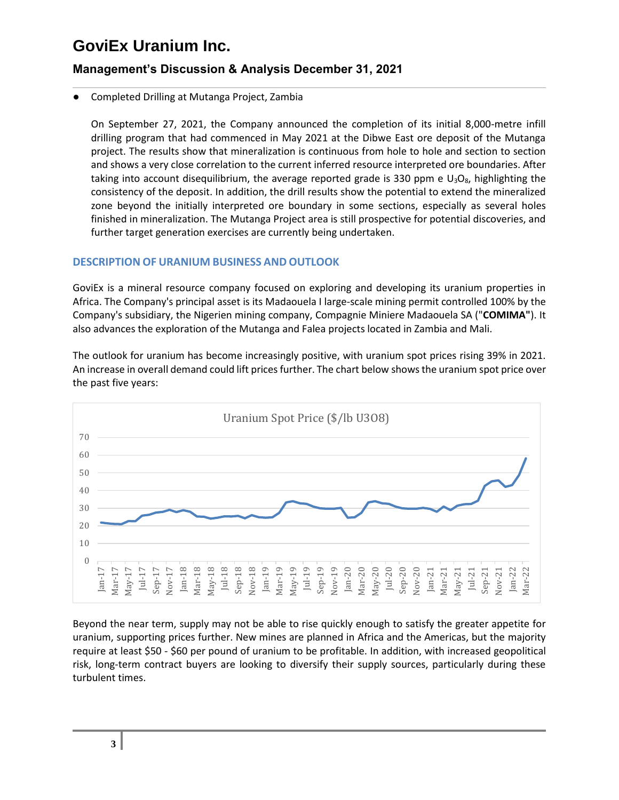## **Management's Discussion & Analysis December 31, 2021**

### Completed Drilling at Mutanga Project, Zambia

On September 27, 2021, the Company announced the completion of its initial 8,000-metre infill drilling program that had commenced in May 2021 at the Dibwe East ore deposit of the Mutanga project. The results show that mineralization is continuous from hole to hole and section to section and shows a very close correlation to the current inferred resource interpreted ore boundaries. After taking into account disequilibrium, the average reported grade is 330 ppm e  $U_3O_8$ , highlighting the consistency of the deposit. In addition, the drill results show the potential to extend the mineralized zone beyond the initially interpreted ore boundary in some sections, especially as several holes finished in mineralization. The Mutanga Project area is still prospective for potential discoveries, and further target generation exercises are currently being undertaken.

### **DESCRIPTION OF URANIUM BUSINESS AND OUTLOOK**

GoviEx is a mineral resource company focused on exploring and developing its uranium properties in Africa. The Company's principal asset is its Madaouela I large-scale mining permit controlled 100% by the Company's subsidiary, the Nigerien mining company, Compagnie Miniere Madaouela SA ("**COMIMA"**). It also advances the exploration of the Mutanga and Falea projects located in Zambia and Mali.

The outlook for uranium has become increasingly positive, with uranium spot prices rising 39% in 2021. An increase in overall demand could lift prices further. The chart below shows the uranium spot price over the past five years:



Beyond the near term, supply may not be able to rise quickly enough to satisfy the greater appetite for uranium, supporting prices further. New mines are planned in Africa and the Americas, but the majority require at least \$50 - \$60 per pound of uranium to be profitable. In addition, with increased geopolitical risk, long-term contract buyers are looking to diversify their supply sources, particularly during these turbulent times.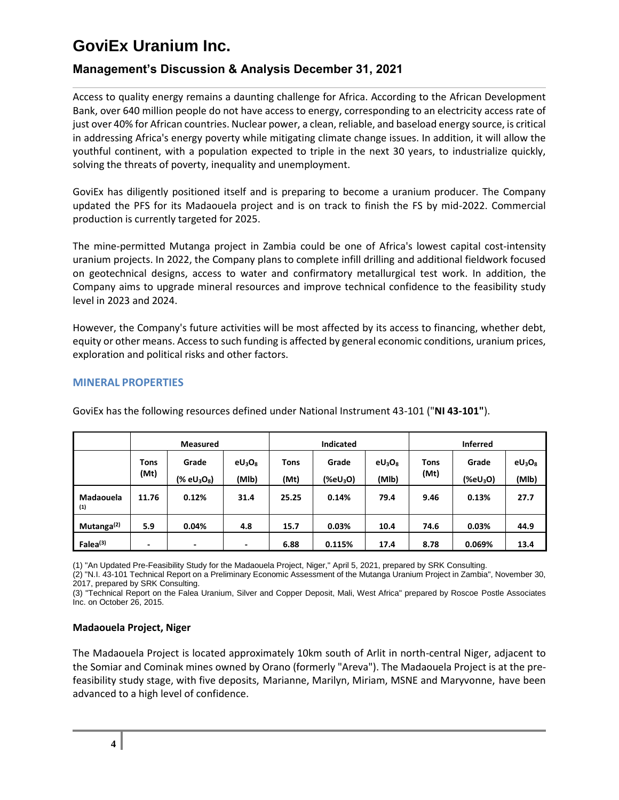## **Management's Discussion & Analysis December 31, 2021**

Access to quality energy remains a daunting challenge for Africa. According to the African Development Bank, over 640 million people do not have access to energy, corresponding to an electricity access rate of just over 40% for African countries. Nuclear power, a clean, reliable, and baseload energy source, is critical in addressing Africa's energy poverty while mitigating climate change issues. In addition, it will allow the youthful continent, with a population expected to triple in the next 30 years, to industrialize quickly, solving the threats of poverty, inequality and unemployment.

GoviEx has diligently positioned itself and is preparing to become a uranium producer. The Company updated the PFS for its Madaouela project and is on track to finish the FS by mid-2022. Commercial production is currently targeted for 2025.

The mine-permitted Mutanga project in Zambia could be one of Africa's lowest capital cost-intensity uranium projects. In 2022, the Company plans to complete infill drilling and additional fieldwork focused on geotechnical designs, access to water and confirmatory metallurgical test work. In addition, the Company aims to upgrade mineral resources and improve technical confidence to the feasibility study level in 2023 and 2024.

However, the Company's future activities will be most affected by its access to financing, whether debt, equity or other means. Access to such funding is affected by general economic conditions, uranium prices, exploration and political risks and other factors.

### **MINERAL PROPERTIES**

|                        | <b>Measured</b> |                                       |                    | <b>Indicated</b>    |                               |                    | <b>Inferred</b>     |                               |                    |
|------------------------|-----------------|---------------------------------------|--------------------|---------------------|-------------------------------|--------------------|---------------------|-------------------------------|--------------------|
|                        | Tons<br>(Mt)    | Grade<br>$(X \text{ eU}_3\text{O}_8)$ | $eU_3O_8$<br>(MIb) | <b>Tons</b><br>(Mt) | Grade<br>(%eU <sub>3</sub> O) | $eU_3O_8$<br>(Mlb) | <b>Tons</b><br>(Mt) | Grade<br>(%eU <sub>3</sub> O) | $eU_3O_8$<br>(MIb) |
| Madaouela<br>(1)       | 11.76           | 0.12%                                 | 31.4               | 25.25               | 0.14%                         | 79.4               | 9.46                | 0.13%                         | 27.7               |
| Mutanga <sup>(2)</sup> | 5.9             | 0.04%                                 | 4.8                | 15.7                | 0.03%                         | 10.4               | 74.6                | 0.03%                         | 44.9               |
| Falea <sup>(3)</sup>   | ۰               | $\overline{\phantom{0}}$              | ٠                  | 6.88                | 0.115%                        | 17.4               | 8.78                | 0.069%                        | 13.4               |

GoviEx has the following resources defined under National Instrument 43-101 ("**NI 43-101"**).

(1) "An Updated Pre-Feasibility Study for the Madaouela Project, Niger," April 5, 2021, prepared by SRK Consulting.

(2) "N.I. 43-101 Technical Report on a Preliminary Economic Assessment of the Mutanga Uranium Project in Zambia", November 30,

2017, prepared by SRK Consulting.

(3) "Technical Report on the Falea Uranium, Silver and Copper Deposit, Mali, West Africa" prepared by Roscoe Postle Associates Inc. on October 26, 2015.

#### **Madaouela Project, Niger**

The Madaouela Project is located approximately 10km south of Arlit in north-central Niger, adjacent to the Somiar and Cominak mines owned by Orano (formerly "Areva"). The Madaouela Project is at the prefeasibility study stage, with five deposits, Marianne, Marilyn, Miriam, MSNE and Maryvonne, have been advanced to a high level of confidence.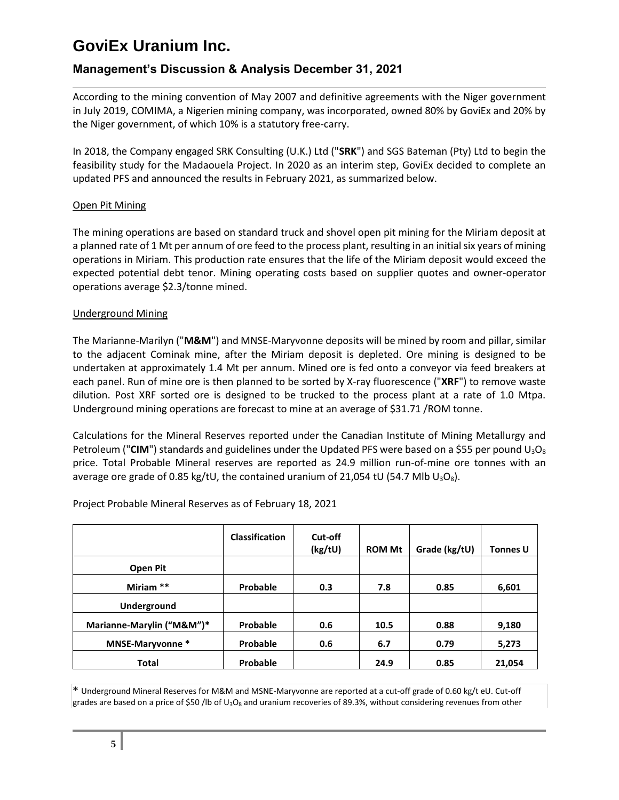## **Management's Discussion & Analysis December 31, 2021**

According to the mining convention of May 2007 and definitive agreements with the Niger government in July 2019, COMIMA, a Nigerien mining company, was incorporated, owned 80% by GoviEx and 20% by the Niger government, of which 10% is a statutory free-carry.

In 2018, the Company engaged SRK Consulting (U.K.) Ltd ("**SRK**") and SGS Bateman (Pty) Ltd to begin the feasibility study for the Madaouela Project. In 2020 as an interim step, GoviEx decided to complete an updated PFS and announced the results in February 2021, as summarized below.

### Open Pit Mining

The mining operations are based on standard truck and shovel open pit mining for the Miriam deposit at a planned rate of 1 Mt per annum of ore feed to the process plant, resulting in an initial six years of mining operations in Miriam. This production rate ensures that the life of the Miriam deposit would exceed the expected potential debt tenor. Mining operating costs based on supplier quotes and owner-operator operations average \$2.3/tonne mined.

### Underground Mining

The Marianne-Marilyn ("**M&M**") and MNSE-Maryvonne deposits will be mined by room and pillar, similar to the adjacent Cominak mine, after the Miriam deposit is depleted. Ore mining is designed to be undertaken at approximately 1.4 Mt per annum. Mined ore is fed onto a conveyor via feed breakers at each panel. Run of mine ore is then planned to be sorted by X-ray fluorescence ("**XRF**") to remove waste dilution. Post XRF sorted ore is designed to be trucked to the process plant at a rate of 1.0 Mtpa. Underground mining operations are forecast to mine at an average of \$31.71 /ROM tonne.

Calculations for the Mineral Reserves reported under the Canadian Institute of Mining Metallurgy and Petroleum ("CIM") standards and guidelines under the Updated PFS were based on a \$55 per pound  $U_3O_8$ price. Total Probable Mineral reserves are reported as 24.9 million run-of-mine ore tonnes with an average ore grade of 0.85 kg/tU, the contained uranium of 21,054 tU (54.7 Mlb  $U_3O_8$ ).

|                           | <b>Classification</b> | Cut-off<br>(kg/tU) | <b>ROM Mt</b> | Grade (kg/tU) | <b>Tonnes U</b> |
|---------------------------|-----------------------|--------------------|---------------|---------------|-----------------|
| Open Pit                  |                       |                    |               |               |                 |
| Miriam **                 | Probable              | 0.3                | 7.8           | 0.85          | 6,601           |
| <b>Underground</b>        |                       |                    |               |               |                 |
| Marianne-Marylin ("M&M")* | Probable              | 0.6                | 10.5          | 0.88          | 9,180           |
| MNSE-Maryvonne*           | Probable              | 0.6                | 6.7           | 0.79          | 5,273           |
| <b>Total</b>              | Probable              |                    | 24.9          | 0.85          | 21,054          |

Project Probable Mineral Reserves as of February 18, 2021

\* Underground Mineral Reserves for M&M and MSNE-Maryvonne are reported at a cut-off grade of 0.60 kg/t eU. Cut-off grades are based on a price of \$50 /lb of U<sub>3</sub>O<sub>8</sub> and uranium recoveries of 89.3%, without considering revenues from other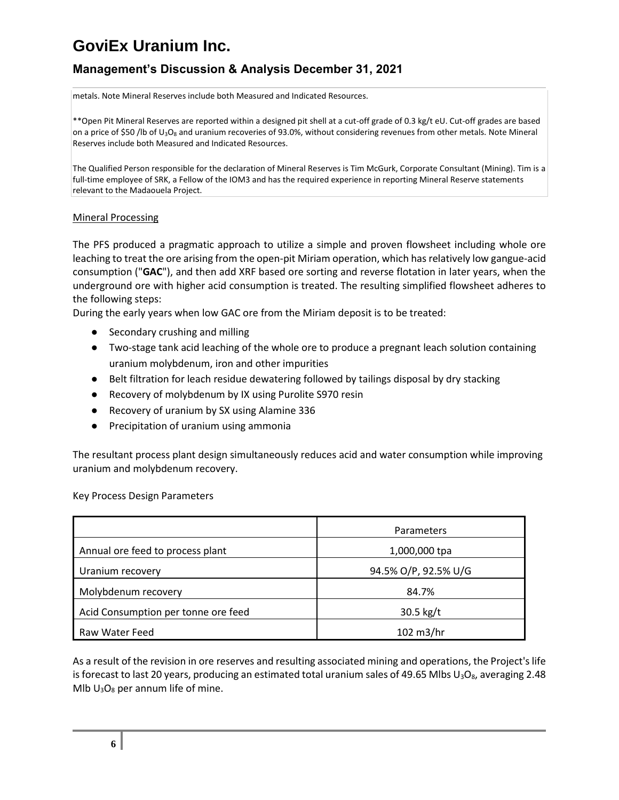## **Management's Discussion & Analysis December 31, 2021**

metals. Note Mineral Reserves include both Measured and Indicated Resources.

\*\*Open Pit Mineral Reserves are reported within a designed pit shell at a cut-off grade of 0.3 kg/t eU. Cut-off grades are based on a price of \$50 /lb of U<sub>3</sub>O<sub>8</sub> and uranium recoveries of 93.0%, without considering revenues from other metals. Note Mineral Reserves include both Measured and Indicated Resources.

The Qualified Person responsible for the declaration of Mineral Reserves is Tim McGurk, Corporate Consultant (Mining). Tim is a full-time employee of SRK, a Fellow of the IOM3 and has the required experience in reporting Mineral Reserve statements relevant to the Madaouela Project.

#### Mineral Processing

The PFS produced a pragmatic approach to utilize a simple and proven flowsheet including whole ore leaching to treat the ore arising from the open-pit Miriam operation, which has relatively low gangue-acid consumption ("**GAC**"), and then add XRF based ore sorting and reverse flotation in later years, when the underground ore with higher acid consumption is treated. The resulting simplified flowsheet adheres to the following steps:

During the early years when low GAC ore from the Miriam deposit is to be treated:

- Secondary crushing and milling
- Two-stage tank acid leaching of the whole ore to produce a pregnant leach solution containing uranium molybdenum, iron and other impurities
- Belt filtration for leach residue dewatering followed by tailings disposal by dry stacking
- Recovery of molybdenum by IX using Purolite S970 resin
- Recovery of uranium by SX using Alamine 336
- Precipitation of uranium using ammonia

The resultant process plant design simultaneously reduces acid and water consumption while improving uranium and molybdenum recovery.

#### Key Process Design Parameters

|                                     | <b>Parameters</b>    |
|-------------------------------------|----------------------|
| Annual ore feed to process plant    | 1,000,000 tpa        |
| Uranium recovery                    | 94.5% O/P, 92.5% U/G |
| Molybdenum recovery                 | 84.7%                |
| Acid Consumption per tonne ore feed | $30.5$ kg/t          |
| Raw Water Feed                      | 102 m3/hr            |

As a result of the revision in ore reserves and resulting associated mining and operations, the Project's life is forecast to last 20 years, producing an estimated total uranium sales of 49.65 Mlbs  $U_3O_8$ , averaging 2.48 Mlb  $U_3O_8$  per annum life of mine.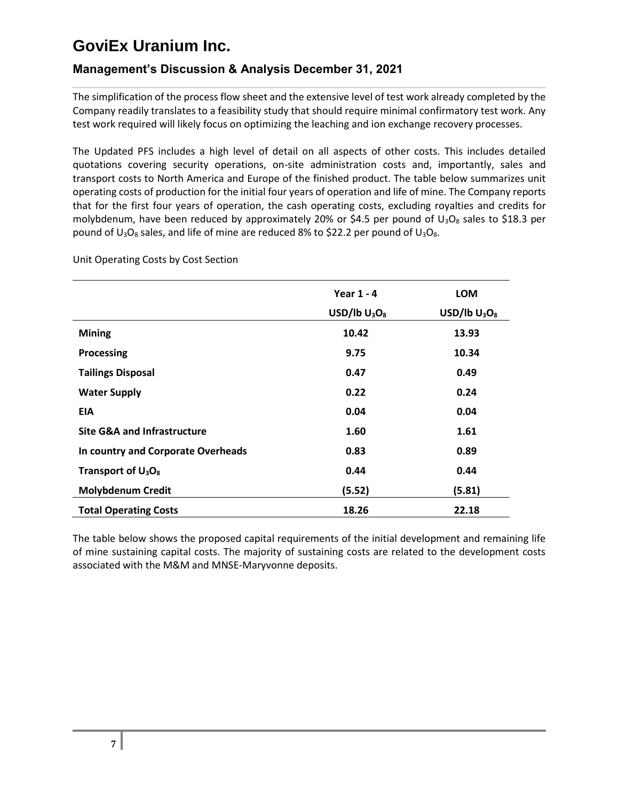## **Management's Discussion & Analysis December 31, 2021**

The simplification of the process flow sheet and the extensive level of test work already completed by the Company readily translates to a feasibility study that should require minimal confirmatory test work. Any test work required will likely focus on optimizing the leaching and ion exchange recovery processes.

The Updated PFS includes a high level of detail on all aspects of other costs. This includes detailed quotations covering security operations, on-site administration costs and, importantly, sales and transport costs to North America and Europe of the finished product. The table below summarizes unit operating costs of production for the initial four years of operation and life of mine. The Company reports that for the first four years of operation, the cash operating costs, excluding royalties and credits for molybdenum, have been reduced by approximately 20% or \$4.5 per pound of  $U_3O_8$  sales to \$18.3 per pound of  $U_3O_8$  sales, and life of mine are reduced 8% to \$22.2 per pound of  $U_3O_8$ .

|                                        | Year $1 - 4$    | <b>LOM</b>      |
|----------------------------------------|-----------------|-----------------|
|                                        | USD/lb $U_3O_8$ | USD/lb $U_3O_8$ |
| <b>Mining</b>                          | 10.42           | 13.93           |
| Processing                             | 9.75            | 10.34           |
| <b>Tailings Disposal</b>               | 0.47            | 0.49            |
| <b>Water Supply</b>                    | 0.22            | 0.24            |
| EIA                                    | 0.04            | 0.04            |
| <b>Site G&amp;A and Infrastructure</b> | 1.60            | 1.61            |
| In country and Corporate Overheads     | 0.83            | 0.89            |
| Transport of $U_3O_8$                  | 0.44            | 0.44            |
| <b>Molybdenum Credit</b>               | (5.52)          | (5.81)          |
| <b>Total Operating Costs</b>           | 18.26           | 22.18           |

Unit Operating Costs by Cost Section

The table below shows the proposed capital requirements of the initial development and remaining life of mine sustaining capital costs. The majority of sustaining costs are related to the development costs associated with the M&M and MNSE-Maryvonne deposits.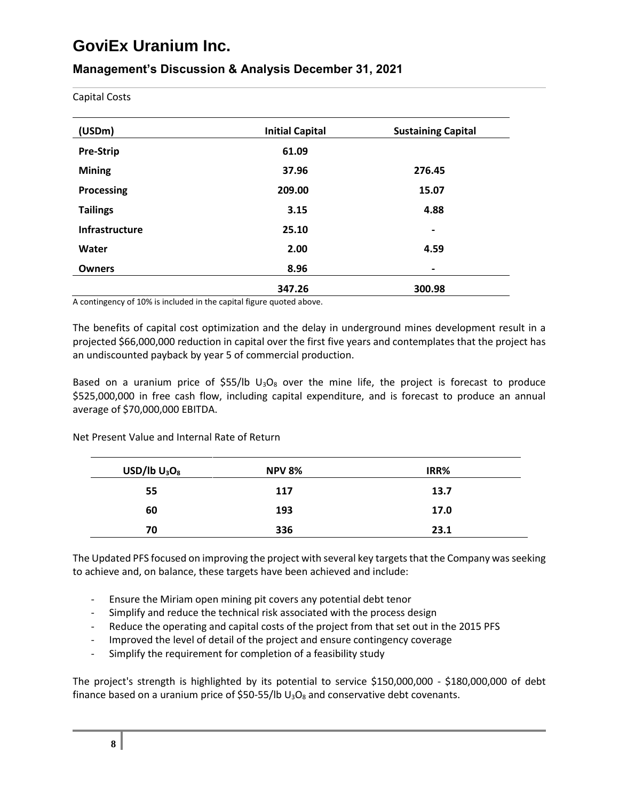## **Management's Discussion & Analysis December 31, 2021**

Capital Costs

| (USDm)                | <b>Initial Capital</b> | <b>Sustaining Capital</b> |  |  |
|-----------------------|------------------------|---------------------------|--|--|
| <b>Pre-Strip</b>      | 61.09                  |                           |  |  |
| <b>Mining</b>         | 37.96                  | 276.45                    |  |  |
| Processing            | 209.00                 | 15.07                     |  |  |
| <b>Tailings</b>       | 3.15                   | 4.88                      |  |  |
| <b>Infrastructure</b> | 25.10                  | $\blacksquare$            |  |  |
| Water                 | 2.00                   | 4.59                      |  |  |
| <b>Owners</b>         | 8.96                   | $\hbox{ }$                |  |  |
|                       | 347.26                 | 300.98                    |  |  |

A contingency of 10% is included in the capital figure quoted above.

The benefits of capital cost optimization and the delay in underground mines development result in a projected \$66,000,000 reduction in capital over the first five years and contemplates that the project has an undiscounted payback by year 5 of commercial production.

Based on a uranium price of \$55/lb  $U_3O_8$  over the mine life, the project is forecast to produce \$525,000,000 in free cash flow, including capital expenditure, and is forecast to produce an annual average of \$70,000,000 EBITDA.

Net Present Value and Internal Rate of Return

| $USD/lb$ $U_3O_8$ | <b>NPV 8%</b> | IRR% |
|-------------------|---------------|------|
| 55                | 117           | 13.7 |
| 60                | 193           | 17.0 |
| 70                | 336           | 23.1 |

The Updated PFS focused on improving the project with several key targets that the Company was seeking to achieve and, on balance, these targets have been achieved and include:

- Ensure the Miriam open mining pit covers any potential debt tenor
- Simplify and reduce the technical risk associated with the process design
- Reduce the operating and capital costs of the project from that set out in the 2015 PFS
- Improved the level of detail of the project and ensure contingency coverage
- Simplify the requirement for completion of a feasibility study

The project's strength is highlighted by its potential to service \$150,000,000 - \$180,000,000 of debt finance based on a uranium price of \$50-55/lb  $U_3O_8$  and conservative debt covenants.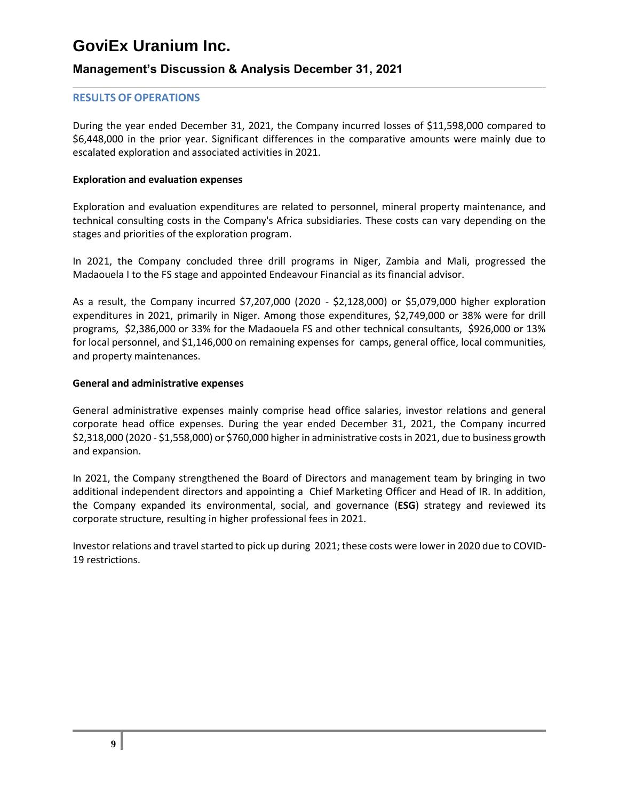## **Management's Discussion & Analysis December 31, 2021**

### **RESULTS OF OPERATIONS**

During the year ended December 31, 2021, the Company incurred losses of \$11,598,000 compared to \$6,448,000 in the prior year. Significant differences in the comparative amounts were mainly due to escalated exploration and associated activities in 2021.

#### **Exploration and evaluation expenses**

Exploration and evaluation expenditures are related to personnel, mineral property maintenance, and technical consulting costs in the Company's Africa subsidiaries. These costs can vary depending on the stages and priorities of the exploration program.

In 2021, the Company concluded three drill programs in Niger, Zambia and Mali, progressed the Madaouela I to the FS stage and appointed Endeavour Financial as its financial advisor.

As a result, the Company incurred \$7,207,000 (2020 - \$2,128,000) or \$5,079,000 higher exploration expenditures in 2021, primarily in Niger. Among those expenditures, \$2,749,000 or 38% were for drill programs, \$2,386,000 or 33% for the Madaouela FS and other technical consultants, \$926,000 or 13% for local personnel, and \$1,146,000 on remaining expenses for camps, general office, local communities, and property maintenances.

#### **General and administrative expenses**

General administrative expenses mainly comprise head office salaries, investor relations and general corporate head office expenses. During the year ended December 31, 2021, the Company incurred \$2,318,000 (2020 - \$1,558,000) or \$760,000 higher in administrative costs in 2021, due to business growth and expansion.

In 2021, the Company strengthened the Board of Directors and management team by bringing in two additional independent directors and appointing a Chief Marketing Officer and Head of IR. In addition, the Company expanded its environmental, social, and governance (**ESG**) strategy and reviewed its corporate structure, resulting in higher professional fees in 2021.

Investor relations and travel started to pick up during 2021; these costs were lower in 2020 due to COVID-19 restrictions.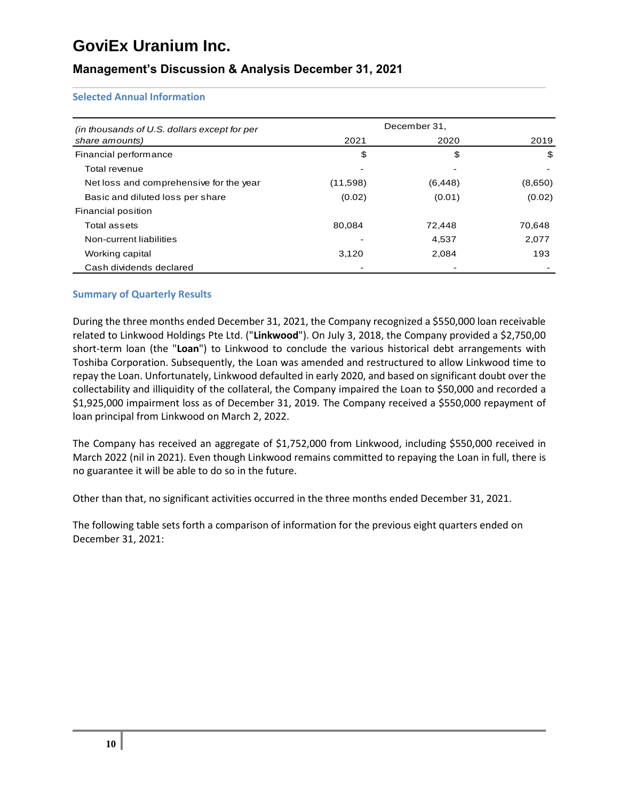## **Management's Discussion & Analysis December 31, 2021**

#### **Selected Annual Information**

| (in thousands of U.S. dollars except for per | December 31,     |          |         |  |  |  |
|----------------------------------------------|------------------|----------|---------|--|--|--|
| share amounts)                               | 2021             | 2020     | 2019    |  |  |  |
| Financial performance                        | \$               | S        | \$      |  |  |  |
| Total revenue                                |                  |          |         |  |  |  |
| Net loss and comprehensive for the year      | (11,598)         | (6, 448) | (8,650) |  |  |  |
| Basic and diluted loss per share             | (0.02)<br>(0.01) |          | (0.02)  |  |  |  |
| Financial position                           |                  |          |         |  |  |  |
| Total assets                                 | 80,084           | 72.448   | 70,648  |  |  |  |
| Non-current liabilities                      |                  | 4.537    | 2,077   |  |  |  |
| Working capital                              | 3,120            | 2,084    | 193     |  |  |  |
| Cash dividends declared                      |                  |          |         |  |  |  |

#### **Summary of Quarterly Results**

During the three months ended December 31, 2021, the Company recognized a \$550,000 loan receivable related to Linkwood Holdings Pte Ltd. ("**Linkwood**"). On July 3, 2018, the Company provided a \$2,750,00 short-term loan (the "**Loan**") to Linkwood to conclude the various historical debt arrangements with Toshiba Corporation. Subsequently, the Loan was amended and restructured to allow Linkwood time to repay the Loan. Unfortunately, Linkwood defaulted in early 2020, and based on significant doubt over the collectability and illiquidity of the collateral, the Company impaired the Loan to \$50,000 and recorded a \$1,925,000 impairment loss as of December 31, 2019. The Company received a \$550,000 repayment of loan principal from Linkwood on March 2, 2022.

The Company has received an aggregate of \$1,752,000 from Linkwood, including \$550,000 received in March 2022 (nil in 2021). Even though Linkwood remains committed to repaying the Loan in full, there is no guarantee it will be able to do so in the future.

Other than that, no significant activities occurred in the three months ended December 31, 2021.

The following table sets forth a comparison of information for the previous eight quarters ended on December 31, 2021: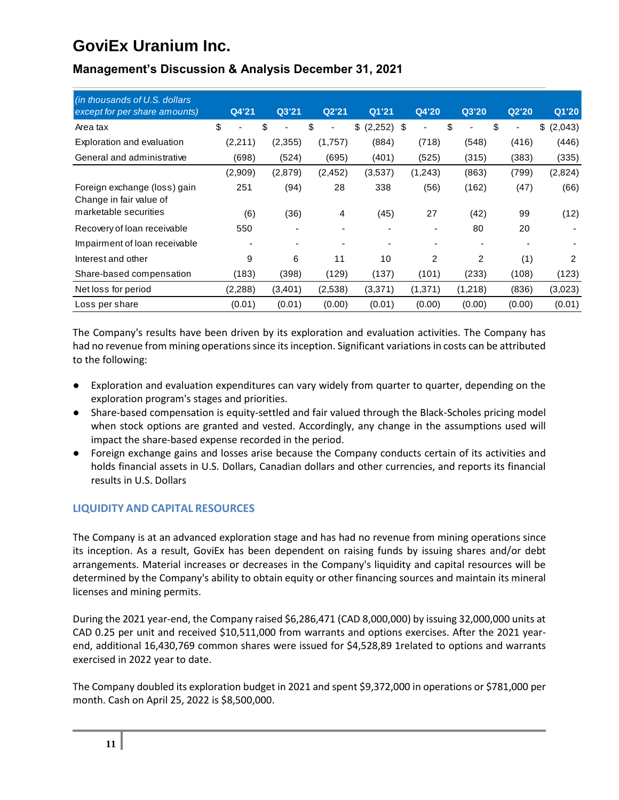| (in thousands of U.S. dollars<br>except for per share amounts) | Q4'21   | Q3'21                | Q2'21                          | Q1'21                    | Q4'20   | Q3'20                | Q2'20                          | Q1'20         |
|----------------------------------------------------------------|---------|----------------------|--------------------------------|--------------------------|---------|----------------------|--------------------------------|---------------|
|                                                                |         |                      |                                |                          |         |                      |                                |               |
| Area tax                                                       | \$      | \$<br>$\blacksquare$ | \$<br>$\overline{\phantom{a}}$ | $(2,252)$ \$<br>\$       | ٠       | \$<br>$\blacksquare$ | \$<br>$\overline{\phantom{0}}$ | \$<br>(2,043) |
| Exploration and evaluation                                     | (2,211) | (2,355)              | (1,757)                        | (884)                    | (718)   | (548)                | (416)                          | (446)         |
| General and administrative                                     | (698)   | (524)                | (695)                          | (401)                    | (525)   | (315)                | (383)                          | (335)         |
|                                                                | (2,909) | (2,879)              | (2, 452)                       | (3,537)                  | (1,243) | (863)                | (799)                          | (2,824)       |
| Foreign exchange (loss) gain<br>Change in fair value of        | 251     | (94)                 | 28                             | 338                      | (56)    | (162)                | (47)                           | (66)          |
| marketable securities                                          | (6)     | (36)                 | 4                              | (45)                     | 27      | (42)                 | 99                             | (12)          |
| Recovery of loan receivable                                    | 550     |                      |                                | $\overline{\phantom{0}}$ |         | 80                   | 20                             |               |
| Impairment of loan receivable                                  |         |                      |                                |                          |         |                      |                                |               |
| Interest and other                                             | 9       | 6                    | 11                             | 10                       | 2       | 2                    | (1)                            | 2             |
| Share-based compensation                                       | (183)   | (398)                | (129)                          | (137)                    | (101)   | (233)                | (108)                          | (123)         |
| Net loss for period                                            | (2,288) | (3,401)              | (2,538)                        | (3,371)                  | (1,371) | (1,218)              | (836)                          | (3,023)       |
| Loss per share                                                 | (0.01)  | (0.01)               | (0.00)                         | (0.01)                   | (0.00)  | (0.00)               | (0.00)                         | (0.01)        |

## **Management's Discussion & Analysis December 31, 2021**

The Company's results have been driven by its exploration and evaluation activities. The Company has had no revenue from mining operations since its inception. Significant variations in costs can be attributed to the following:

- Exploration and evaluation expenditures can vary widely from quarter to quarter, depending on the exploration program's stages and priorities.
- Share-based compensation is equity-settled and fair valued through the Black-Scholes pricing model when stock options are granted and vested. Accordingly, any change in the assumptions used will impact the share-based expense recorded in the period.
- Foreign exchange gains and losses arise because the Company conducts certain of its activities and holds financial assets in U.S. Dollars, Canadian dollars and other currencies, and reports its financial results in U.S. Dollars

## **LIQUIDITY AND CAPITAL RESOURCES**

The Company is at an advanced exploration stage and has had no revenue from mining operations since its inception. As a result, GoviEx has been dependent on raising funds by issuing shares and/or debt arrangements. Material increases or decreases in the Company's liquidity and capital resources will be determined by the Company's ability to obtain equity or other financing sources and maintain its mineral licenses and mining permits.

During the 2021 year-end, the Company raised \$6,286,471 (CAD 8,000,000) by issuing 32,000,000 units at CAD 0.25 per unit and received \$10,511,000 from warrants and options exercises. After the 2021 yearend, additional 16,430,769 common shares were issued for \$4,528,89 1related to options and warrants exercised in 2022 year to date.

The Company doubled its exploration budget in 2021 and spent \$9,372,000 in operations or \$781,000 per month. Cash on April 25, 2022 is \$8,500,000.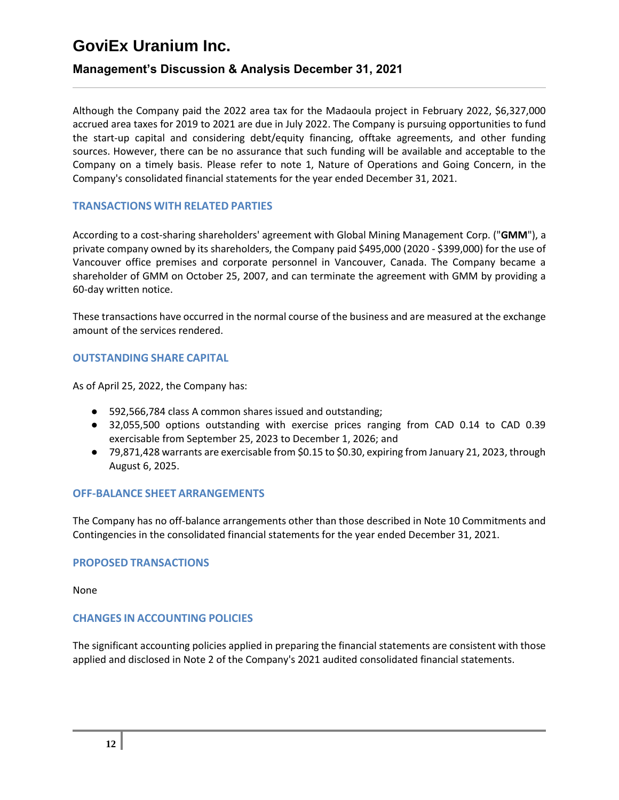## **Management's Discussion & Analysis December 31, 2021**

Although the Company paid the 2022 area tax for the Madaoula project in February 2022, \$6,327,000 accrued area taxes for 2019 to 2021 are due in July 2022. The Company is pursuing opportunities to fund the start-up capital and considering debt/equity financing, offtake agreements, and other funding sources. However, there can be no assurance that such funding will be available and acceptable to the Company on a timely basis. Please refer to note 1, Nature of Operations and Going Concern, in the Company's consolidated financial statements for the year ended December 31, 2021.

### **TRANSACTIONS WITH RELATED PARTIES**

According to a cost-sharing shareholders' agreement with Global Mining Management Corp. ("**GMM**"), a private company owned by its shareholders, the Company paid \$495,000 (2020 - \$399,000) for the use of Vancouver office premises and corporate personnel in Vancouver, Canada. The Company became a shareholder of GMM on October 25, 2007, and can terminate the agreement with GMM by providing a 60-day written notice.

These transactions have occurred in the normal course of the business and are measured at the exchange amount of the services rendered.

### **OUTSTANDING SHARE CAPITAL**

As of April 25, 2022, the Company has:

- 592,566,784 class A common shares issued and outstanding;
- 32,055,500 options outstanding with exercise prices ranging from CAD 0.14 to CAD 0.39 exercisable from September 25, 2023 to December 1, 2026; and
- 79,871,428 warrants are exercisable from \$0.15 to \$0.30, expiring from January 21, 2023, through August 6, 2025.

### **OFF-BALANCE SHEET ARRANGEMENTS**

The Company has no off-balance arrangements other than those described in Note 10 Commitments and Contingencies in the consolidated financial statements for the year ended December 31, 2021.

#### **PROPOSED TRANSACTIONS**

None

#### **CHANGES IN ACCOUNTING POLICIES**

The significant accounting policies applied in preparing the financial statements are consistent with those applied and disclosed in Note 2 of the Company's 2021 audited consolidated financial statements.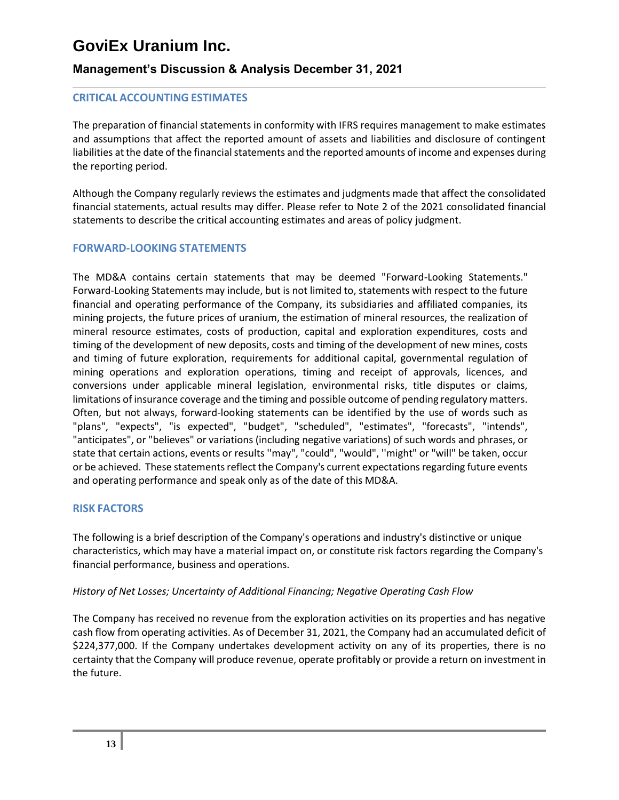## **Management's Discussion & Analysis December 31, 2021**

### **CRITICAL ACCOUNTING ESTIMATES**

The preparation of financial statements in conformity with IFRS requires management to make estimates and assumptions that affect the reported amount of assets and liabilities and disclosure of contingent liabilities at the date of the financial statements and the reported amounts of income and expenses during the reporting period.

Although the Company regularly reviews the estimates and judgments made that affect the consolidated financial statements, actual results may differ. Please refer to Note 2 of the 2021 consolidated financial statements to describe the critical accounting estimates and areas of policy judgment.

### **FORWARD-LOOKING STATEMENTS**

The MD&A contains certain statements that may be deemed "Forward-Looking Statements." Forward-Looking Statements may include, but is not limited to, statements with respect to the future financial and operating performance of the Company, its subsidiaries and affiliated companies, its mining projects, the future prices of uranium, the estimation of mineral resources, the realization of mineral resource estimates, costs of production, capital and exploration expenditures, costs and timing of the development of new deposits, costs and timing of the development of new mines, costs and timing of future exploration, requirements for additional capital, governmental regulation of mining operations and exploration operations, timing and receipt of approvals, licences, and conversions under applicable mineral legislation, environmental risks, title disputes or claims, limitations of insurance coverage and the timing and possible outcome of pending regulatory matters. Often, but not always, forward-looking statements can be identified by the use of words such as "plans", "expects", "is expected", "budget", "scheduled", "estimates", "forecasts", "intends", "anticipates", or "believes" or variations (including negative variations) of such words and phrases, or state that certain actions, events or results ''may", "could", "would", ''might" or "will" be taken, occur or be achieved. These statements reflect the Company's current expectations regarding future events and operating performance and speak only as of the date of this MD&A.

### **RISK FACTORS**

The following is a brief description of the Company's operations and industry's distinctive or unique characteristics, which may have a material impact on, or constitute risk factors regarding the Company's financial performance, business and operations.

#### *History of Net Losses; Uncertainty of Additional Financing; Negative Operating Cash Flow*

The Company has received no revenue from the exploration activities on its properties and has negative cash flow from operating activities. As of December 31, 2021, the Company had an accumulated deficit of \$224,377,000. If the Company undertakes development activity on any of its properties, there is no certainty that the Company will produce revenue, operate profitably or provide a return on investment in the future.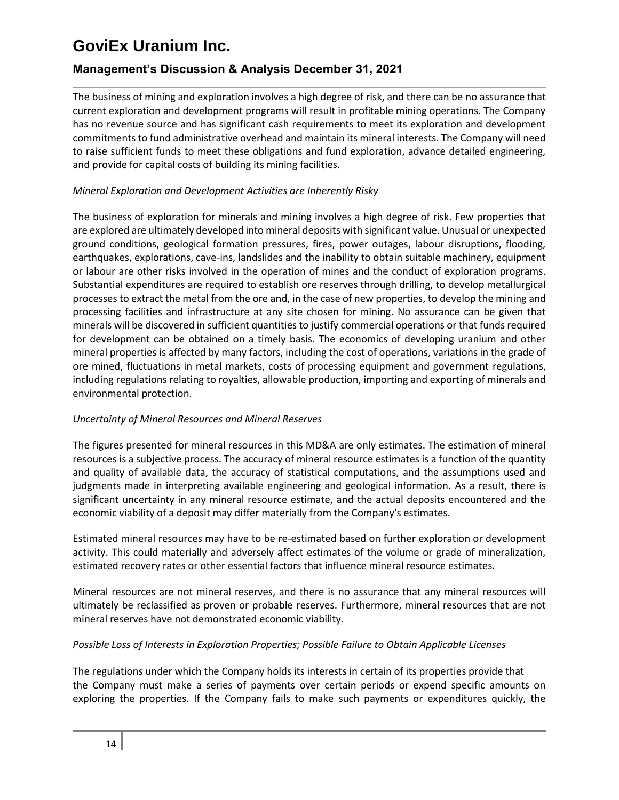## **Management's Discussion & Analysis December 31, 2021**

The business of mining and exploration involves a high degree of risk, and there can be no assurance that current exploration and development programs will result in profitable mining operations. The Company has no revenue source and has significant cash requirements to meet its exploration and development commitments to fund administrative overhead and maintain its mineral interests. The Company will need to raise sufficient funds to meet these obligations and fund exploration, advance detailed engineering, and provide for capital costs of building its mining facilities.

### *Mineral Exploration and Development Activities are Inherently Risky*

The business of exploration for minerals and mining involves a high degree of risk. Few properties that are explored are ultimately developed into mineral deposits with significant value. Unusual or unexpected ground conditions, geological formation pressures, fires, power outages, labour disruptions, flooding, earthquakes, explorations, cave-ins, landslides and the inability to obtain suitable machinery, equipment or labour are other risks involved in the operation of mines and the conduct of exploration programs. Substantial expenditures are required to establish ore reserves through drilling, to develop metallurgical processes to extract the metal from the ore and, in the case of new properties, to develop the mining and processing facilities and infrastructure at any site chosen for mining. No assurance can be given that minerals will be discovered in sufficient quantities to justify commercial operations or that funds required for development can be obtained on a timely basis. The economics of developing uranium and other mineral properties is affected by many factors, including the cost of operations, variations in the grade of ore mined, fluctuations in metal markets, costs of processing equipment and government regulations, including regulations relating to royalties, allowable production, importing and exporting of minerals and environmental protection.

### *Uncertainty of Mineral Resources and Mineral Reserves*

The figures presented for mineral resources in this MD&A are only estimates. The estimation of mineral resources is a subjective process. The accuracy of mineral resource estimates is a function of the quantity and quality of available data, the accuracy of statistical computations, and the assumptions used and judgments made in interpreting available engineering and geological information. As a result, there is significant uncertainty in any mineral resource estimate, and the actual deposits encountered and the economic viability of a deposit may differ materially from the Company's estimates.

Estimated mineral resources may have to be re-estimated based on further exploration or development activity. This could materially and adversely affect estimates of the volume or grade of mineralization, estimated recovery rates or other essential factors that influence mineral resource estimates.

Mineral resources are not mineral reserves, and there is no assurance that any mineral resources will ultimately be reclassified as proven or probable reserves. Furthermore, mineral resources that are not mineral reserves have not demonstrated economic viability.

### *Possible Loss of Interests in Exploration Properties; Possible Failure to Obtain Applicable Licenses*

The regulations under which the Company holds its interests in certain of its properties provide that the Company must make a series of payments over certain periods or expend specific amounts on exploring the properties. If the Company fails to make such payments or expenditures quickly, the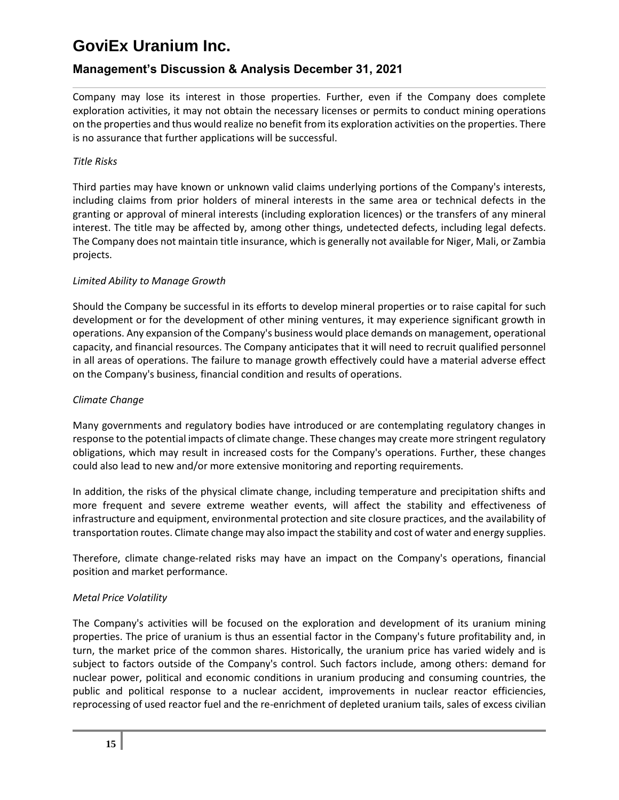## **Management's Discussion & Analysis December 31, 2021**

Company may lose its interest in those properties. Further, even if the Company does complete exploration activities, it may not obtain the necessary licenses or permits to conduct mining operations on the properties and thus would realize no benefit from its exploration activities on the properties. There is no assurance that further applications will be successful.

### *Title Risks*

Third parties may have known or unknown valid claims underlying portions of the Company's interests, including claims from prior holders of mineral interests in the same area or technical defects in the granting or approval of mineral interests (including exploration licences) or the transfers of any mineral interest. The title may be affected by, among other things, undetected defects, including legal defects. The Company does not maintain title insurance, which is generally not available for Niger, Mali, or Zambia projects.

### *Limited Ability to Manage Growth*

Should the Company be successful in its efforts to develop mineral properties or to raise capital for such development or for the development of other mining ventures, it may experience significant growth in operations. Any expansion of the Company's business would place demands on management, operational capacity, and financial resources. The Company anticipates that it will need to recruit qualified personnel in all areas of operations. The failure to manage growth effectively could have a material adverse effect on the Company's business, financial condition and results of operations.

### *Climate Change*

Many governments and regulatory bodies have introduced or are contemplating regulatory changes in response to the potential impacts of climate change. These changes may create more stringent regulatory obligations, which may result in increased costs for the Company's operations. Further, these changes could also lead to new and/or more extensive monitoring and reporting requirements.

In addition, the risks of the physical climate change, including temperature and precipitation shifts and more frequent and severe extreme weather events, will affect the stability and effectiveness of infrastructure and equipment, environmental protection and site closure practices, and the availability of transportation routes. Climate change may also impact the stability and cost of water and energy supplies.

Therefore, climate change-related risks may have an impact on the Company's operations, financial position and market performance.

### *Metal Price Volatility*

The Company's activities will be focused on the exploration and development of its uranium mining properties. The price of uranium is thus an essential factor in the Company's future profitability and, in turn, the market price of the common shares. Historically, the uranium price has varied widely and is subject to factors outside of the Company's control. Such factors include, among others: demand for nuclear power, political and economic conditions in uranium producing and consuming countries, the public and political response to a nuclear accident, improvements in nuclear reactor efficiencies, reprocessing of used reactor fuel and the re-enrichment of depleted uranium tails, sales of excess civilian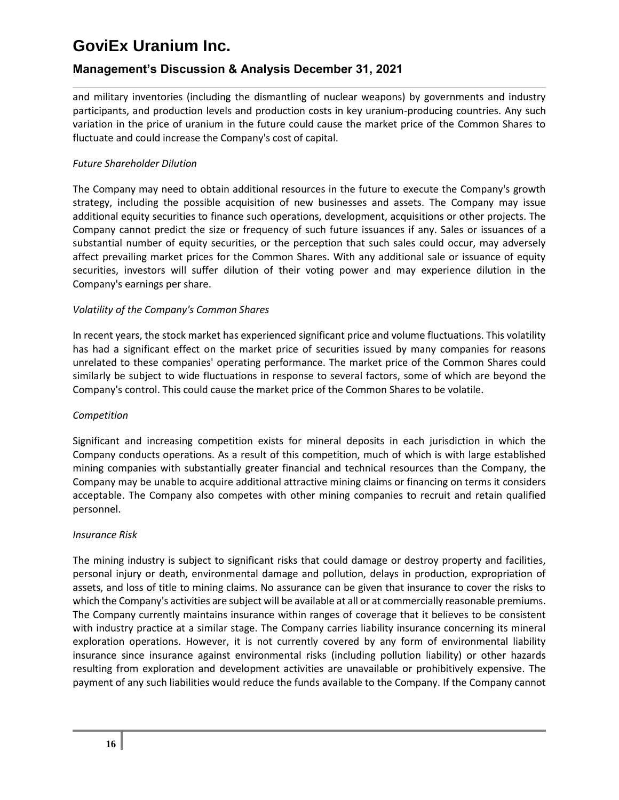## **Management's Discussion & Analysis December 31, 2021**

and military inventories (including the dismantling of nuclear weapons) by governments and industry participants, and production levels and production costs in key uranium-producing countries. Any such variation in the price of uranium in the future could cause the market price of the Common Shares to fluctuate and could increase the Company's cost of capital.

### *Future Shareholder Dilution*

The Company may need to obtain additional resources in the future to execute the Company's growth strategy, including the possible acquisition of new businesses and assets. The Company may issue additional equity securities to finance such operations, development, acquisitions or other projects. The Company cannot predict the size or frequency of such future issuances if any. Sales or issuances of a substantial number of equity securities, or the perception that such sales could occur, may adversely affect prevailing market prices for the Common Shares. With any additional sale or issuance of equity securities, investors will suffer dilution of their voting power and may experience dilution in the Company's earnings per share.

#### *Volatility of the Company's Common Shares*

In recent years, the stock market has experienced significant price and volume fluctuations. This volatility has had a significant effect on the market price of securities issued by many companies for reasons unrelated to these companies' operating performance. The market price of the Common Shares could similarly be subject to wide fluctuations in response to several factors, some of which are beyond the Company's control. This could cause the market price of the Common Shares to be volatile.

#### *Competition*

Significant and increasing competition exists for mineral deposits in each jurisdiction in which the Company conducts operations. As a result of this competition, much of which is with large established mining companies with substantially greater financial and technical resources than the Company, the Company may be unable to acquire additional attractive mining claims or financing on terms it considers acceptable. The Company also competes with other mining companies to recruit and retain qualified personnel.

#### *Insurance Risk*

The mining industry is subject to significant risks that could damage or destroy property and facilities, personal injury or death, environmental damage and pollution, delays in production, expropriation of assets, and loss of title to mining claims. No assurance can be given that insurance to cover the risks to which the Company's activities are subject will be available at all or at commercially reasonable premiums. The Company currently maintains insurance within ranges of coverage that it believes to be consistent with industry practice at a similar stage. The Company carries liability insurance concerning its mineral exploration operations. However, it is not currently covered by any form of environmental liability insurance since insurance against environmental risks (including pollution liability) or other hazards resulting from exploration and development activities are unavailable or prohibitively expensive. The payment of any such liabilities would reduce the funds available to the Company. If the Company cannot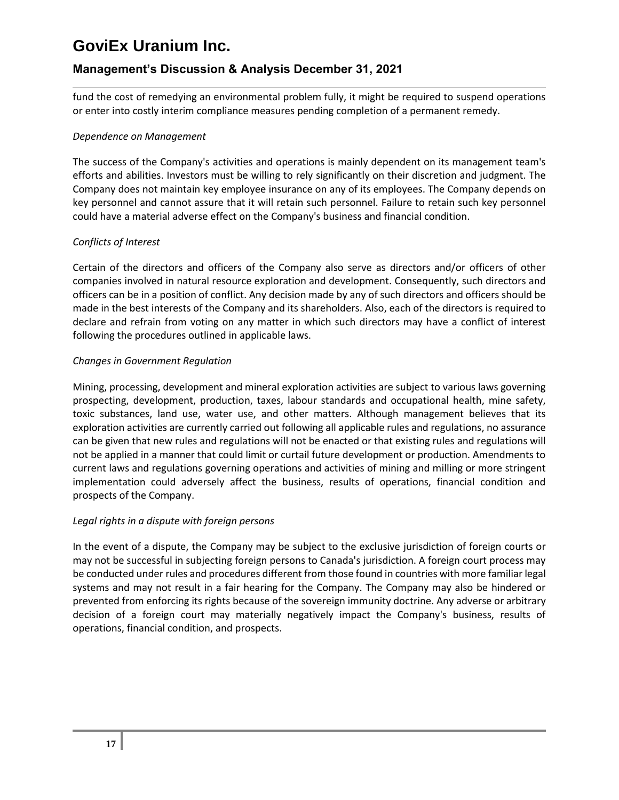## **Management's Discussion & Analysis December 31, 2021**

fund the cost of remedying an environmental problem fully, it might be required to suspend operations or enter into costly interim compliance measures pending completion of a permanent remedy.

### *Dependence on Management*

The success of the Company's activities and operations is mainly dependent on its management team's efforts and abilities. Investors must be willing to rely significantly on their discretion and judgment. The Company does not maintain key employee insurance on any of its employees. The Company depends on key personnel and cannot assure that it will retain such personnel. Failure to retain such key personnel could have a material adverse effect on the Company's business and financial condition.

### *Conflicts of Interest*

Certain of the directors and officers of the Company also serve as directors and/or officers of other companies involved in natural resource exploration and development. Consequently, such directors and officers can be in a position of conflict. Any decision made by any of such directors and officers should be made in the best interests of the Company and its shareholders. Also, each of the directors is required to declare and refrain from voting on any matter in which such directors may have a conflict of interest following the procedures outlined in applicable laws.

### *Changes in Government Regulation*

Mining, processing, development and mineral exploration activities are subject to various laws governing prospecting, development, production, taxes, labour standards and occupational health, mine safety, toxic substances, land use, water use, and other matters. Although management believes that its exploration activities are currently carried out following all applicable rules and regulations, no assurance can be given that new rules and regulations will not be enacted or that existing rules and regulations will not be applied in a manner that could limit or curtail future development or production. Amendments to current laws and regulations governing operations and activities of mining and milling or more stringent implementation could adversely affect the business, results of operations, financial condition and prospects of the Company.

#### *Legal rights in a dispute with foreign persons*

In the event of a dispute, the Company may be subject to the exclusive jurisdiction of foreign courts or may not be successful in subjecting foreign persons to Canada's jurisdiction. A foreign court process may be conducted under rules and procedures different from those found in countries with more familiar legal systems and may not result in a fair hearing for the Company. The Company may also be hindered or prevented from enforcing its rights because of the sovereign immunity doctrine. Any adverse or arbitrary decision of a foreign court may materially negatively impact the Company's business, results of operations, financial condition, and prospects.